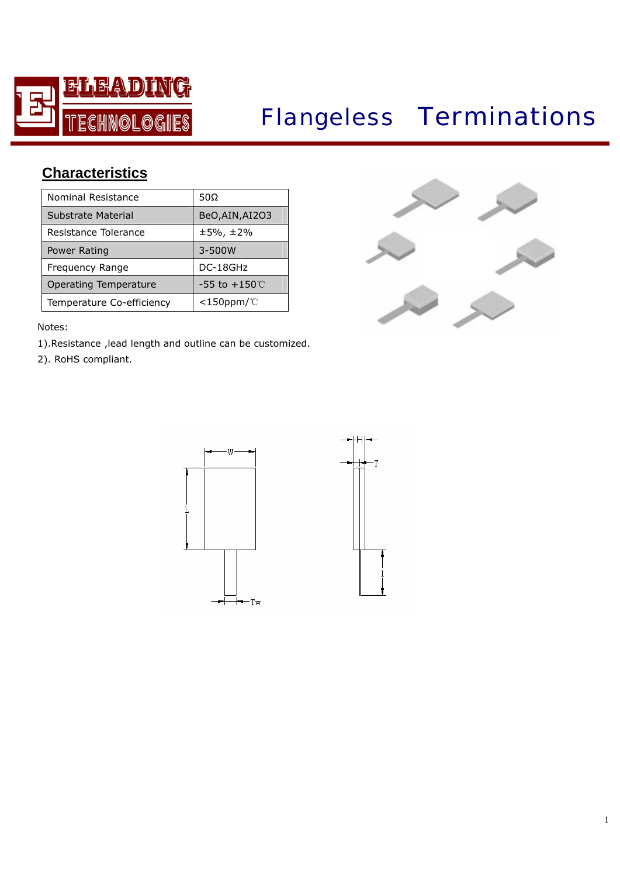

# *Flangeless* Terminations

## **Characteristics**

| Nominal Resistance        | 50Ω                       |  |  |  |
|---------------------------|---------------------------|--|--|--|
| Substrate Material        | BeO, AIN, AI2O3           |  |  |  |
| Resistance Tolerance      | $±5\%$ , $±2\%$           |  |  |  |
| Power Rating              | 3-500W                    |  |  |  |
| Frequency Range           | DC-18GHz                  |  |  |  |
| Operating Temperature     | $-55$ to $+150^{\circ}$ C |  |  |  |
| Temperature Co-efficiency | $<$ 150ppm/ $°C$          |  |  |  |

Notes:

1).Resistance ,lead length and outline can be customized.

2). RoHS compliant.

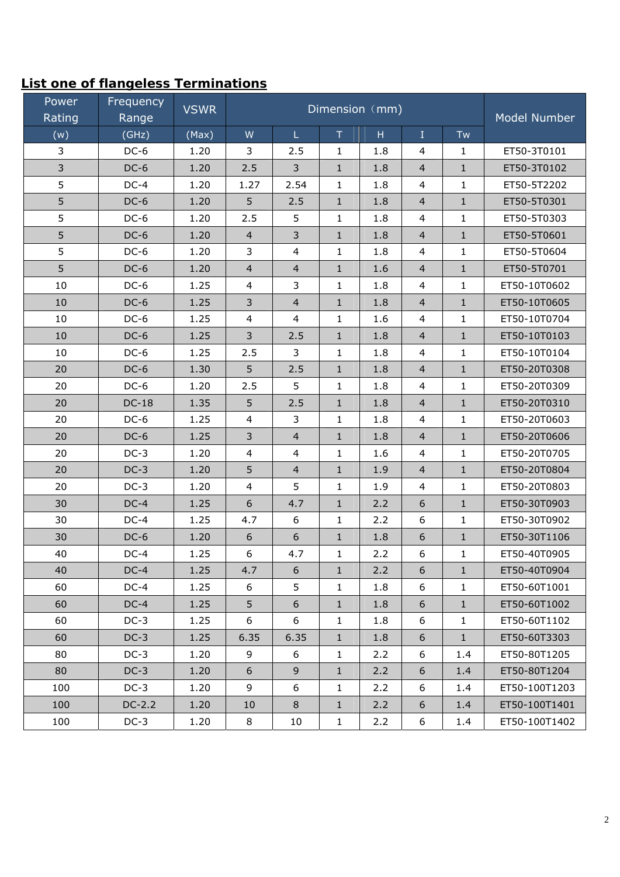## **List one of flangeless Terminations**

| Power<br>Rating | Frequency<br>Range | <b>VSWR</b> | Dimension (mm) |                |              |     |                  | Model Number |               |
|-----------------|--------------------|-------------|----------------|----------------|--------------|-----|------------------|--------------|---------------|
| (w)             | (GHz)              | (Max)       | W              | L              | $\top$       | H   | $\mathbf I$      | Tw           |               |
| 3               | $DC-6$             | 1.20        | 3              | 2.5            | 1            | 1.8 | $\overline{4}$   | 1            | ET50-3T0101   |
| $\overline{3}$  | $DC-6$             | 1.20        | 2.5            | $\mathfrak{Z}$ | $\mathbf{1}$ | 1.8 | $\overline{4}$   | $\mathbf{1}$ | ET50-3T0102   |
| 5               | $DC-4$             | 1.20        | 1.27           | 2.54           | $\mathbf{1}$ | 1.8 | $\overline{4}$   | $\mathbf{1}$ | ET50-5T2202   |
| 5               | $DC-6$             | 1.20        | 5              | 2.5            | $\mathbf{1}$ | 1.8 | $\overline{4}$   | $\mathbf{1}$ | ET50-5T0301   |
| 5               | $DC-6$             | 1.20        | 2.5            | 5              | $\mathbf{1}$ | 1.8 | $\overline{4}$   | $\mathbf{1}$ | ET50-5T0303   |
| 5               | $DC-6$             | 1.20        | $\overline{4}$ | $\mathfrak{Z}$ | $\mathbf{1}$ | 1.8 | $\overline{4}$   | $\mathbf{1}$ | ET50-5T0601   |
| 5               | $DC-6$             | 1.20        | 3              | $\overline{a}$ | 1            | 1.8 | 4                | $\mathbf{1}$ | ET50-5T0604   |
| 5               | $DC-6$             | 1.20        | $\overline{4}$ | $\overline{4}$ | $\mathbf{1}$ | 1.6 | $\overline{4}$   | $\mathbf{1}$ | ET50-5T0701   |
| 10              | $DC-6$             | 1.25        | 4              | 3              | $\mathbf{1}$ | 1.8 | $\overline{4}$   | $\mathbf{1}$ | ET50-10T0602  |
| 10              | $DC-6$             | 1.25        | 3              | $\overline{4}$ | $\mathbf{1}$ | 1.8 | $\overline{4}$   | $\mathbf{1}$ | ET50-10T0605  |
| 10              | $DC-6$             | 1.25        | $\overline{4}$ | $\overline{4}$ | $\mathbf{1}$ | 1.6 | $\overline{4}$   | $\mathbf{1}$ | ET50-10T0704  |
| 10              | $DC-6$             | 1.25        | 3              | 2.5            | $\mathbf{1}$ | 1.8 | $\overline{4}$   | $\mathbf{1}$ | ET50-10T0103  |
| 10              | $DC-6$             | 1.25        | 2.5            | 3              | $\mathbf{1}$ | 1.8 | $\overline{4}$   | $\mathbf{1}$ | ET50-10T0104  |
| 20              | $DC-6$             | 1.30        | 5              | 2.5            | $\mathbf{1}$ | 1.8 | $\overline{4}$   | $\mathbf{1}$ | ET50-20T0308  |
| 20              | $DC-6$             | 1.20        | 2.5            | 5              | $\mathbf{1}$ | 1.8 | $\overline{4}$   | $\mathbf{1}$ | ET50-20T0309  |
| 20              | $DC-18$            | 1.35        | 5              | 2.5            | $\mathbf{1}$ | 1.8 | $\overline{4}$   | $\mathbf{1}$ | ET50-20T0310  |
| 20              | $DC-6$             | 1.25        | 4              | $\mathfrak{Z}$ | $\mathbf{1}$ | 1.8 | $\overline{4}$   | $\mathbf{1}$ | ET50-20T0603  |
| 20              | $DC-6$             | 1.25        | $\mathsf{3}$   | $\overline{4}$ | $\mathbf{1}$ | 1.8 | $\overline{4}$   | $\mathbf{1}$ | ET50-20T0606  |
| 20              | $DC-3$             | 1.20        | $\overline{4}$ | $\overline{4}$ | $\mathbf{1}$ | 1.6 | $\overline{4}$   | $\mathbf{1}$ | ET50-20T0705  |
| 20              | $DC-3$             | 1.20        | 5              | $\overline{4}$ | $\mathbf{1}$ | 1.9 | $\overline{4}$   | $\mathbf{1}$ | ET50-20T0804  |
| 20              | $DC-3$             | 1.20        | $\overline{4}$ | 5              | $\mathbf{1}$ | 1.9 | $\overline{4}$   | $\mathbf{1}$ | ET50-20T0803  |
| 30              | $DC-4$             | 1.25        | $6\,$          | 4.7            | $\mathbf{1}$ | 2.2 | $6\,$            | $\mathbf{1}$ | ET50-30T0903  |
| 30              | $DC-4$             | 1.25        | 4.7            | 6              | $\mathbf{1}$ | 2.2 | 6                | $\mathbf{1}$ | ET50-30T0902  |
| 30              | $DC-6$             | 1.20        | 6              | 6              | $\mathbf{1}$ | 1.8 | $6\,$            | $\mathbf{1}$ | ET50-30T1106  |
| 40              | $DC-4$             | 1.25        | 6              | 4.7            | $\mathbf{1}$ | 2.2 | 6                | $\mathbf{1}$ | ET50-40T0905  |
| 40              | $DC-4$             | 1.25        | 4.7            | 6              | $\mathbf{1}$ | 2.2 | 6                | $\mathbf{1}$ | ET50-40T0904  |
| 60              | $DC-4$             | 1.25        | 6              | 5              | $\mathbf{1}$ | 1.8 | 6                | $\mathbf{1}$ | ET50-60T1001  |
| 60              | $DC-4$             | 1.25        | 5              | 6              | $\mathbf{1}$ | 1.8 | 6                | $\mathbf{1}$ | ET50-60T1002  |
| 60              | $DC-3$             | 1.25        | 6              | 6              | $\mathbf{1}$ | 1.8 | 6                | 1            | ET50-60T1102  |
| 60              | $DC-3$             | 1.25        | 6.35           | 6.35           | $\mathbf{1}$ | 1.8 | 6                | $\mathbf{1}$ | ET50-60T3303  |
| 80              | $DC-3$             | 1.20        | 9              | 6              | $\mathbf{1}$ | 2.2 | 6                | 1.4          | ET50-80T1205  |
| 80              | $DC-3$             | 1.20        | 6              | 9              | $\mathbf{1}$ | 2.2 | 6                | 1.4          | ET50-80T1204  |
| 100             | $DC-3$             | 1.20        | 9              | 6              | $\mathbf{1}$ | 2.2 | 6                | 1.4          | ET50-100T1203 |
| 100             | DC-2.2             | 1.20        | 10             | 8              | $\mathbf{1}$ | 2.2 | $\boldsymbol{6}$ | 1.4          | ET50-100T1401 |
| 100             | $DC-3$             | 1.20        | 8              | 10             | $\mathbf{1}$ | 2.2 | 6                | 1.4          | ET50-100T1402 |